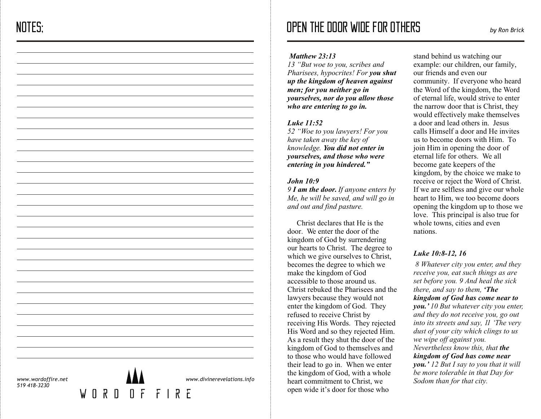*13 "But woe to you, scribes and Pharisees, hypocrites! For you shut up the kingdom of heaven against men; for you neither go in yourselves, nor do you allow those who are entering to go in.*

## *Luke 11:52*

*52 "Woe to you lawyers! For you have taken away the key of knowledge. You did not enter in yourselves, and those who were entering in you hindered."*

## *John 10:9*

*9 I am the door. If anyone enters by Me, he will be saved, and will go in and out and find pasture.*

Christ declares that He is the door. We enter the door of the kingdom of God by surrendering our hearts to Christ. The degree to which we give ourselves to Christ, becomes the degree to which we make the kingdom of God accessible to those around us. Christ rebuked the Pharisees and the lawyers because they would not enter the kingdom of God. They refused to receive Christ by receiving His Words. They rejected His Word and so they rejected Him. As a result they shut the door of the kingdom of God to themselves and to those who would have followed their lead to go in. When we enter the kingdom of God, with a whole heart commitment to Christ, we open wide it's door for those who

stand behind us watching our example: our children, our family, our friends and even our community. If everyone who heard the Word of the kingdom, the Word of eternal life, would strive to enter the narrow door that is Christ, they would effectively make themselves a door and lead others in. Jesus calls Himself a door and He invites us to become doors with Him. To join Him in opening the door of eternal life for others. We all become gate keepers of the kingdom, by the choice we make to receive or reject the Word of Christ. If we are selfless and give our whole heart to Him, we too become doors opening the kingdom up to those we love. This principal is also true for whole towns, cities and even nations.

# *Luke 10:8-12, 16*

 *8 Whatever city you enter, and they receive you, eat such things as are set before you. 9 And heal the sick there, and say to them, 'The kingdom of God has come near to you.' 10 But whatever city you enter, and they do not receive you, go out into its streets and say, 11 'The very dust of your city which clings to us we wipe off against you. Nevertheless know this, that the kingdom of God has come near you.' 12 But I say to you that it will be more tolerable in that Day for Sodom than for that city.*

*www.wordoffire.net 519 418-3230*

 $\mathsf{M}$ 



 $\begin{array}{cccccccccccccc} \Pi & R & \Pi & \Pi & \Pi & \Gamma & \Gamma & \Gamma & R & \Gamma \end{array}$